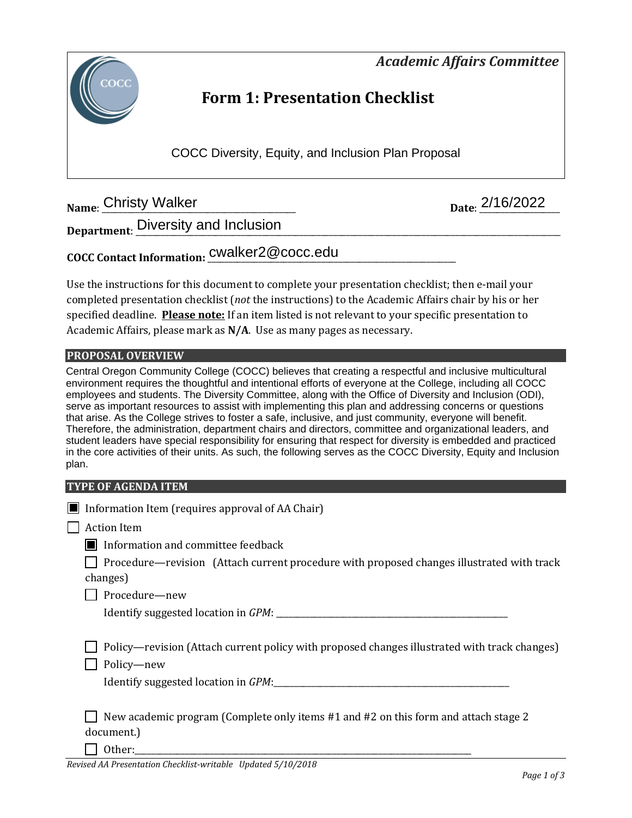*Academic Affairs Committee* 



# **Form 1: Presentation Checklist**

COCC Diversity, Equity, and Inclusion Plan Proposal

**Name: Christy Walker** 

Date: 2/16/2022

**Department**: \_\_\_\_\_\_\_\_\_\_\_\_\_\_\_\_\_\_\_\_\_\_\_\_\_\_\_\_\_\_\_\_\_\_\_\_\_\_\_\_\_\_\_\_\_\_\_\_\_\_\_\_\_\_\_\_\_\_\_\_\_\_\_\_\_\_\_\_\_\_\_\_\_\_\_\_\_\_\_\_\_\_\_\_\_\_\_\_\_\_\_\_\_\_\_\_\_\_\_\_\_ Diversity and Inclusion

**COCC Contact Information:** \_\_\_\_\_\_\_\_\_\_\_\_\_\_\_\_\_\_\_\_\_\_\_\_\_\_\_\_\_\_\_\_\_\_\_\_\_\_\_\_\_\_\_\_\_\_\_\_\_\_\_\_\_\_\_\_\_\_\_ cwalker2@cocc.edu

Use the instructions for this document to complete your presentation checklist; then e-mail your completed presentation checklist (*not* the instructions) to the Academic Affairs chair by his or her specified deadline. **Please note:** If an item listed is not relevant to your specific presentation to Academic Affairs, please mark as **N/A**. Use as many pages as necessary.

### **PROPOSAL OVERVIEW**

Central Oregon Community College (COCC) believes that creating a respectful and inclusive multicultural environment requires the thoughtful and intentional efforts of everyone at the College, including all COCC employees and students. The Diversity Committee, along with the Office of Diversity and Inclusion (ODI), serve as important resources to assist with implementing this plan and addressing concerns or questions that arise. As the College strives to foster a safe, inclusive, and just community, everyone will benefit. Therefore, the administration, department chairs and directors, committee and organizational leaders, and student leaders have special responsibility for ensuring that respect for diversity is embedded and practiced in the core activities of their units. As such, the following serves as the COCC Diversity, Equity and Inclusion plan.

### **TYPE OF AGENDA ITEM**

| Information Item (requires approval of AA Chair)                                                                                                  |
|---------------------------------------------------------------------------------------------------------------------------------------------------|
| <b>Action Item</b>                                                                                                                                |
| Information and committee feedback                                                                                                                |
| Procedure—revision (Attach current procedure with proposed changes illustrated with track<br>changes)                                             |
| Procedure-new                                                                                                                                     |
|                                                                                                                                                   |
| Policy—revision (Attach current policy with proposed changes illustrated with track changes)<br>Policy-new<br>Identify suggested location in GPM: |
| New academic program (Complete only items #1 and #2 on this form and attach stage 2<br>document.)<br>.                                            |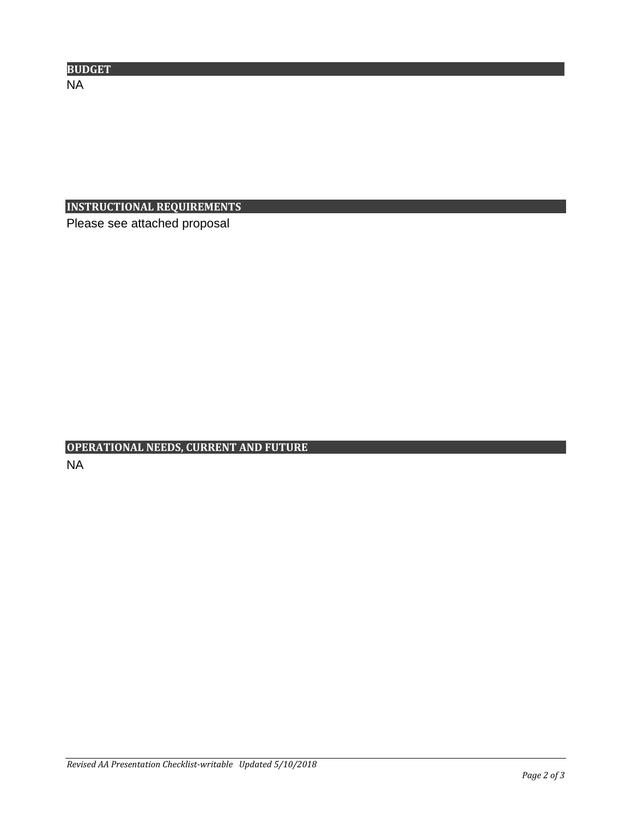| <b>BUDGET</b> |  |
|---------------|--|
| N.<br>.       |  |

## **INSTRUCTIONAL REQUIREMENTS**

Please see attached proposal

# **OPERATIONAL NEEDS, CURRENT AND FUTURE** NA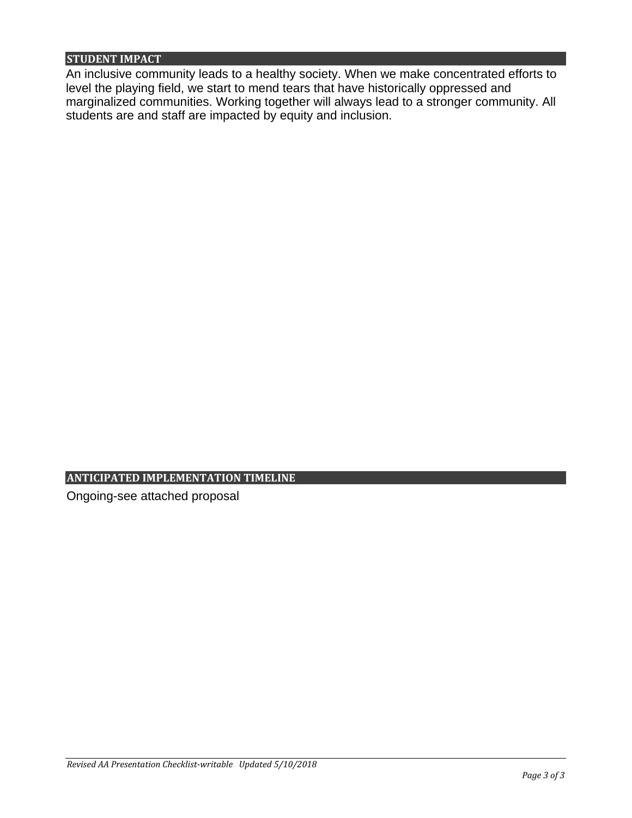### **STUDENT IMPACT**

An inclusive community leads to a healthy society. When we make concentrated efforts to level the playing field, we start to mend tears that have historically oppressed and marginalized communities. Working together will always lead to a stronger community. All students are and staff are impacted by equity and inclusion.

### **ANTICIPATED IMPLEMENTATION TIMELINE**

Ongoing-see attached proposal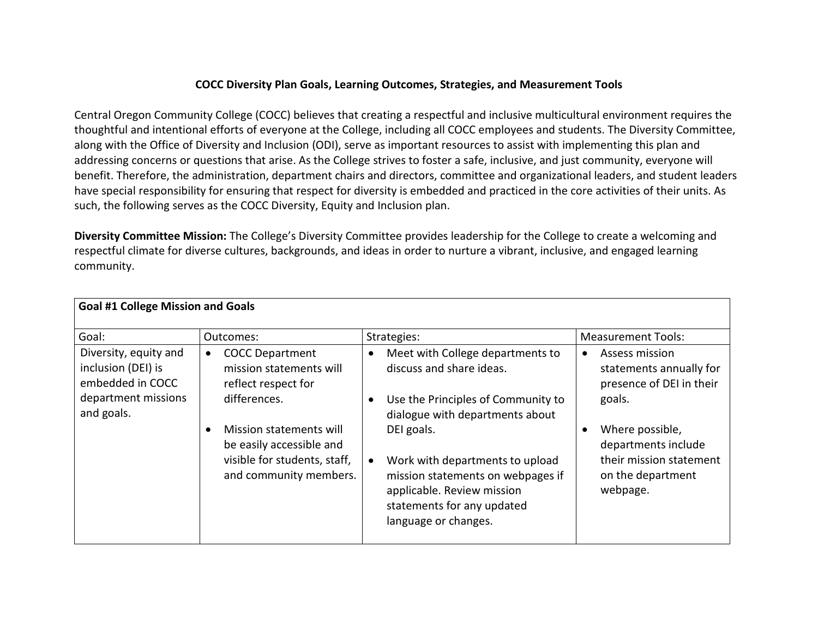### **COCC Diversity Plan Goals, Learning Outcomes, Strategies, and Measurement Tools**

Central Oregon Community College (COCC) believes that creating a respectful and inclusive multicultural environment requires the thoughtful and intentional efforts of everyone at the College, including all COCC employees and students. The Diversity Committee, along with the Office of Diversity and Inclusion (ODI), serve as important resources to assist with implementing this plan and addressing concerns or questions that arise. As the College strives to foster a safe, inclusive, and just community, everyone will benefit. Therefore, the administration, department chairs and directors, committee and organizational leaders, and student leaders have special responsibility for ensuring that respect for diversity is embedded and practiced in the core activities of their units. As such, the following serves as the COCC Diversity, Equity and Inclusion plan.

**Diversity Committee Mission:** The College's Diversity Committee provides leadership for the College to create a welcoming and respectful climate for diverse cultures, backgrounds, and ideas in order to nurture a vibrant, inclusive, and engaged learning community.

| Goal #1 College Mission and Goals                                                                    |                                                                                                               |                                                                                                                                                                        |                                                                                                    |
|------------------------------------------------------------------------------------------------------|---------------------------------------------------------------------------------------------------------------|------------------------------------------------------------------------------------------------------------------------------------------------------------------------|----------------------------------------------------------------------------------------------------|
| Goal:                                                                                                | Outcomes:                                                                                                     | Strategies:                                                                                                                                                            | <b>Measurement Tools:</b>                                                                          |
| Diversity, equity and<br>inclusion (DEI) is<br>embedded in COCC<br>department missions<br>and goals. | <b>COCC Department</b><br>$\bullet$<br>mission statements will<br>reflect respect for<br>differences.         | Meet with College departments to<br>$\bullet$<br>discuss and share ideas.<br>Use the Principles of Community to<br>dialogue with departments about                     | Assess mission<br>$\bullet$<br>statements annually for<br>presence of DEI in their<br>goals.       |
|                                                                                                      | Mission statements will<br>be easily accessible and<br>visible for students, staff,<br>and community members. | DEI goals.<br>Work with departments to upload<br>mission statements on webpages if<br>applicable. Review mission<br>statements for any updated<br>language or changes. | Where possible,<br>departments include<br>their mission statement<br>on the department<br>webpage. |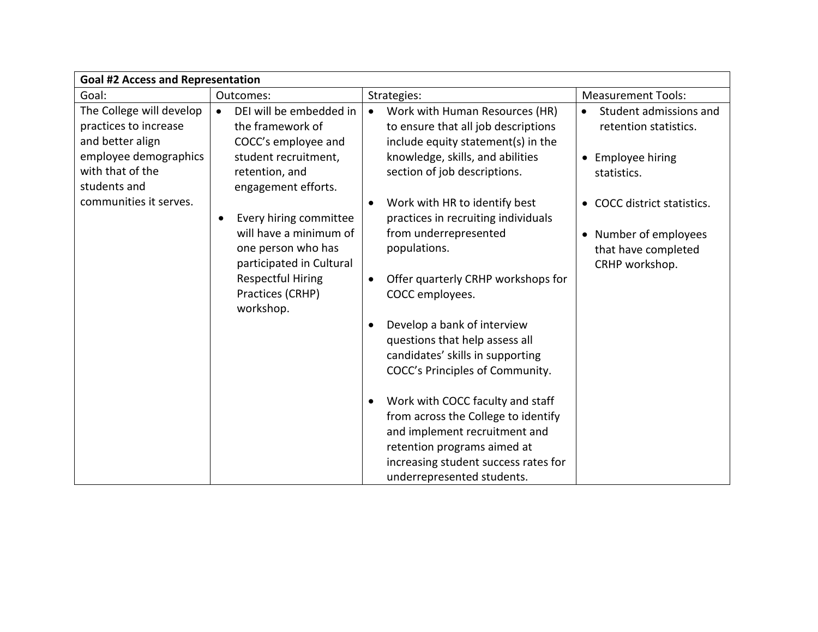| <b>Goal #2 Access and Representation</b>                                                                                           |                                                                                                                                                                              |                                                                                                                                                                                                                                                                                                                                                                                                                                                                                                                                                                                     |                                                                                                  |
|------------------------------------------------------------------------------------------------------------------------------------|------------------------------------------------------------------------------------------------------------------------------------------------------------------------------|-------------------------------------------------------------------------------------------------------------------------------------------------------------------------------------------------------------------------------------------------------------------------------------------------------------------------------------------------------------------------------------------------------------------------------------------------------------------------------------------------------------------------------------------------------------------------------------|--------------------------------------------------------------------------------------------------|
| Goal:                                                                                                                              | Outcomes:                                                                                                                                                                    | Strategies:                                                                                                                                                                                                                                                                                                                                                                                                                                                                                                                                                                         | <b>Measurement Tools:</b>                                                                        |
| The College will develop<br>practices to increase<br>and better align<br>employee demographics<br>with that of the<br>students and | DEI will be embedded in<br>$\bullet$<br>the framework of<br>COCC's employee and<br>student recruitment,<br>retention, and<br>engagement efforts.                             | Work with Human Resources (HR)<br>$\bullet$<br>to ensure that all job descriptions<br>include equity statement(s) in the<br>knowledge, skills, and abilities<br>section of job descriptions.                                                                                                                                                                                                                                                                                                                                                                                        | Student admissions and<br>$\bullet$<br>retention statistics.<br>• Employee hiring<br>statistics. |
| communities it serves.                                                                                                             | Every hiring committee<br>$\bullet$<br>will have a minimum of<br>one person who has<br>participated in Cultural<br><b>Respectful Hiring</b><br>Practices (CRHP)<br>workshop. | Work with HR to identify best<br>$\bullet$<br>practices in recruiting individuals<br>from underrepresented<br>populations.<br>Offer quarterly CRHP workshops for<br>$\bullet$<br>COCC employees.<br>Develop a bank of interview<br>$\bullet$<br>questions that help assess all<br>candidates' skills in supporting<br>COCC's Principles of Community.<br>Work with COCC faculty and staff<br>$\bullet$<br>from across the College to identify<br>and implement recruitment and<br>retention programs aimed at<br>increasing student success rates for<br>underrepresented students. | COCC district statistics.<br>• Number of employees<br>that have completed<br>CRHP workshop.      |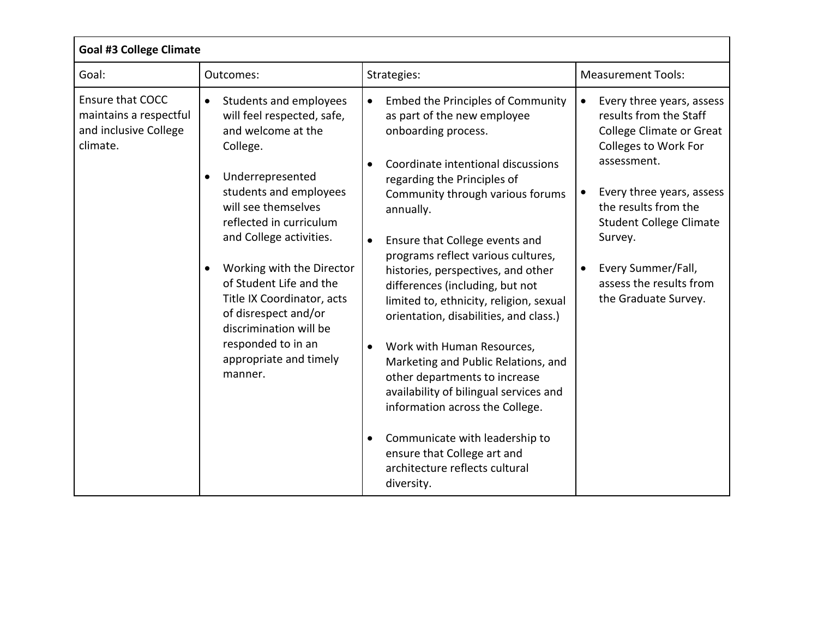| <b>Goal #3 College Climate</b>                                                         |                                                                                                                                                                                                                                                                                                                                                                                                                                   |                                                                                                                                                                                                                                                                                                                                                                                                                                                                                                                                                                                                                                                                                                                                                                                                                    |                                                                                                                                                                                                                                                                                                                                                 |
|----------------------------------------------------------------------------------------|-----------------------------------------------------------------------------------------------------------------------------------------------------------------------------------------------------------------------------------------------------------------------------------------------------------------------------------------------------------------------------------------------------------------------------------|--------------------------------------------------------------------------------------------------------------------------------------------------------------------------------------------------------------------------------------------------------------------------------------------------------------------------------------------------------------------------------------------------------------------------------------------------------------------------------------------------------------------------------------------------------------------------------------------------------------------------------------------------------------------------------------------------------------------------------------------------------------------------------------------------------------------|-------------------------------------------------------------------------------------------------------------------------------------------------------------------------------------------------------------------------------------------------------------------------------------------------------------------------------------------------|
| Goal:                                                                                  | Outcomes:                                                                                                                                                                                                                                                                                                                                                                                                                         | Strategies:                                                                                                                                                                                                                                                                                                                                                                                                                                                                                                                                                                                                                                                                                                                                                                                                        | <b>Measurement Tools:</b>                                                                                                                                                                                                                                                                                                                       |
| <b>Ensure that COCC</b><br>maintains a respectful<br>and inclusive College<br>climate. | Students and employees<br>$\bullet$<br>will feel respected, safe,<br>and welcome at the<br>College.<br>Underrepresented<br>students and employees<br>will see themselves<br>reflected in curriculum<br>and College activities.<br>Working with the Director<br>of Student Life and the<br>Title IX Coordinator, acts<br>of disrespect and/or<br>discrimination will be<br>responded to in an<br>appropriate and timely<br>manner. | <b>Embed the Principles of Community</b><br>as part of the new employee<br>onboarding process.<br>Coordinate intentional discussions<br>$\bullet$<br>regarding the Principles of<br>Community through various forums<br>annually.<br>Ensure that College events and<br>$\bullet$<br>programs reflect various cultures,<br>histories, perspectives, and other<br>differences (including, but not<br>limited to, ethnicity, religion, sexual<br>orientation, disabilities, and class.)<br>Work with Human Resources,<br>$\bullet$<br>Marketing and Public Relations, and<br>other departments to increase<br>availability of bilingual services and<br>information across the College.<br>Communicate with leadership to<br>$\bullet$<br>ensure that College art and<br>architecture reflects cultural<br>diversity. | Every three years, assess<br>$\bullet$<br>results from the Staff<br><b>College Climate or Great</b><br>Colleges to Work For<br>assessment.<br>Every three years, assess<br>$\bullet$<br>the results from the<br><b>Student College Climate</b><br>Survey.<br>Every Summer/Fall,<br>$\bullet$<br>assess the results from<br>the Graduate Survey. |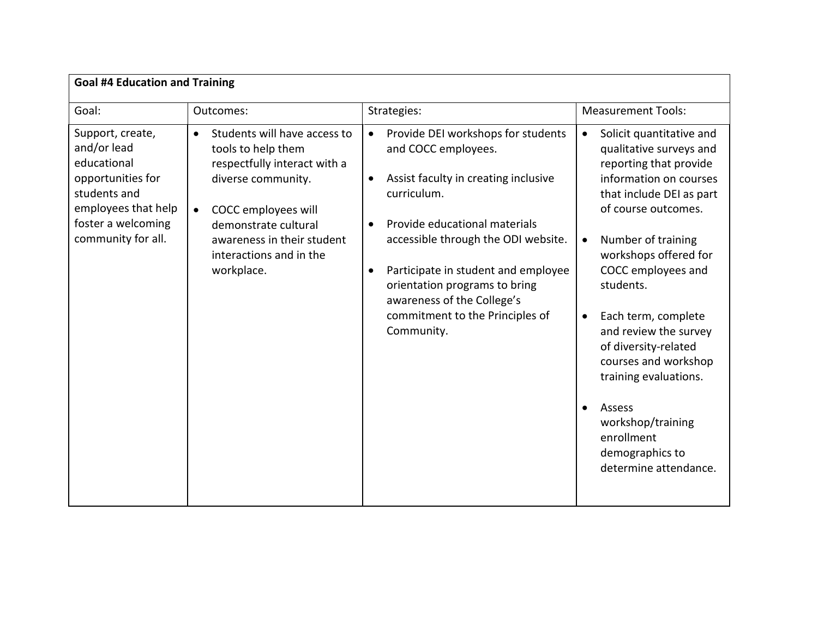| <b>Goal #4 Education and Training</b>                                                                                                                  |                                                                                                                                                                                                                                                          |                                                                                                                                                                                                                                                                                                                                                                                        |                                                                                                                                                                                                                                                                                                                                                                                                                                                                                                                    |  |
|--------------------------------------------------------------------------------------------------------------------------------------------------------|----------------------------------------------------------------------------------------------------------------------------------------------------------------------------------------------------------------------------------------------------------|----------------------------------------------------------------------------------------------------------------------------------------------------------------------------------------------------------------------------------------------------------------------------------------------------------------------------------------------------------------------------------------|--------------------------------------------------------------------------------------------------------------------------------------------------------------------------------------------------------------------------------------------------------------------------------------------------------------------------------------------------------------------------------------------------------------------------------------------------------------------------------------------------------------------|--|
| Goal:                                                                                                                                                  | Outcomes:                                                                                                                                                                                                                                                | Strategies:                                                                                                                                                                                                                                                                                                                                                                            | <b>Measurement Tools:</b>                                                                                                                                                                                                                                                                                                                                                                                                                                                                                          |  |
| Support, create,<br>and/or lead<br>educational<br>opportunities for<br>students and<br>employees that help<br>foster a welcoming<br>community for all. | Students will have access to<br>$\bullet$<br>tools to help them<br>respectfully interact with a<br>diverse community.<br>COCC employees will<br>$\bullet$<br>demonstrate cultural<br>awareness in their student<br>interactions and in the<br>workplace. | Provide DEI workshops for students<br>$\bullet$<br>and COCC employees.<br>Assist faculty in creating inclusive<br>$\bullet$<br>curriculum.<br>Provide educational materials<br>accessible through the ODI website.<br>Participate in student and employee<br>$\bullet$<br>orientation programs to bring<br>awareness of the College's<br>commitment to the Principles of<br>Community. | Solicit quantitative and<br>$\bullet$<br>qualitative surveys and<br>reporting that provide<br>information on courses<br>that include DEI as part<br>of course outcomes.<br>Number of training<br>$\bullet$<br>workshops offered for<br>COCC employees and<br>students.<br>Each term, complete<br>$\bullet$<br>and review the survey<br>of diversity-related<br>courses and workshop<br>training evaluations.<br>Assess<br>$\bullet$<br>workshop/training<br>enrollment<br>demographics to<br>determine attendance. |  |